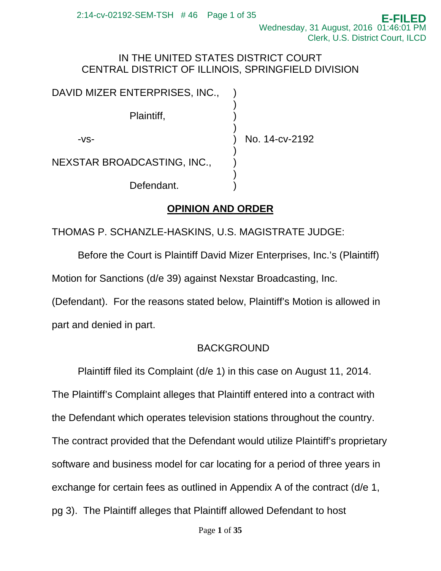## IN THE UNITED STATES DISTRICT COURT CENTRAL DISTRICT OF ILLINOIS, SPRINGFIELD DIVISION

| DAVID MIZER ENTERPRISES, INC.,     |                |
|------------------------------------|----------------|
| Plaintiff,                         |                |
| -VS-                               | No. 14-cv-2192 |
| <b>NEXSTAR BROADCASTING, INC.,</b> |                |
| Defendant.                         |                |

# **OPINION AND ORDER**

THOMAS P. SCHANZLE-HASKINS, U.S. MAGISTRATE JUDGE:

Before the Court is Plaintiff David Mizer Enterprises, Inc.'s (Plaintiff) Motion for Sanctions (d/e 39) against Nexstar Broadcasting, Inc.

(Defendant). For the reasons stated below, Plaintiff's Motion is allowed in part and denied in part.

# BACKGROUND

Plaintiff filed its Complaint (d/e 1) in this case on August 11, 2014.

The Plaintiff's Complaint alleges that Plaintiff entered into a contract with

the Defendant which operates television stations throughout the country.

The contract provided that the Defendant would utilize Plaintiff's proprietary

software and business model for car locating for a period of three years in

exchange for certain fees as outlined in Appendix A of the contract (d/e 1,

pg 3). The Plaintiff alleges that Plaintiff allowed Defendant to host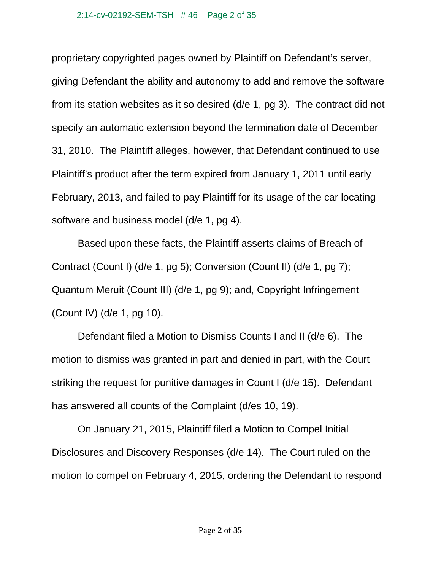proprietary copyrighted pages owned by Plaintiff on Defendant's server, giving Defendant the ability and autonomy to add and remove the software from its station websites as it so desired (d/e 1, pg 3). The contract did not specify an automatic extension beyond the termination date of December 31, 2010. The Plaintiff alleges, however, that Defendant continued to use Plaintiff's product after the term expired from January 1, 2011 until early February, 2013, and failed to pay Plaintiff for its usage of the car locating software and business model (d/e 1, pg 4).

Based upon these facts, the Plaintiff asserts claims of Breach of Contract (Count I) (d/e 1, pg 5); Conversion (Count II) (d/e 1, pg 7); Quantum Meruit (Count III) (d/e 1, pg 9); and, Copyright Infringement (Count IV) (d/e 1, pg 10).

Defendant filed a Motion to Dismiss Counts I and II (d/e 6). The motion to dismiss was granted in part and denied in part, with the Court striking the request for punitive damages in Count I (d/e 15). Defendant has answered all counts of the Complaint (d/es 10, 19).

On January 21, 2015, Plaintiff filed a Motion to Compel Initial Disclosures and Discovery Responses (d/e 14). The Court ruled on the motion to compel on February 4, 2015, ordering the Defendant to respond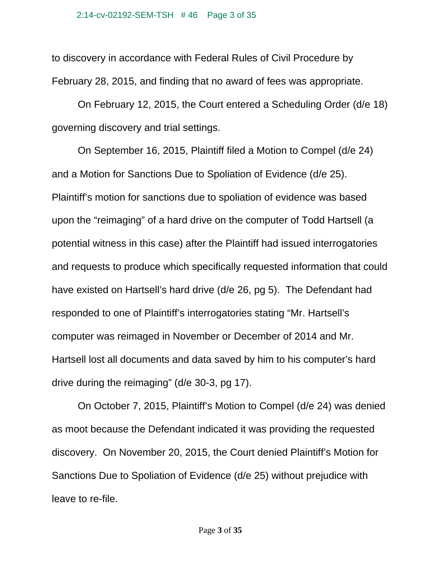to discovery in accordance with Federal Rules of Civil Procedure by February 28, 2015, and finding that no award of fees was appropriate.

On February 12, 2015, the Court entered a Scheduling Order (d/e 18) governing discovery and trial settings.

On September 16, 2015, Plaintiff filed a Motion to Compel (d/e 24) and a Motion for Sanctions Due to Spoliation of Evidence (d/e 25). Plaintiff's motion for sanctions due to spoliation of evidence was based upon the "reimaging" of a hard drive on the computer of Todd Hartsell (a potential witness in this case) after the Plaintiff had issued interrogatories and requests to produce which specifically requested information that could have existed on Hartsell's hard drive (d/e 26, pg 5). The Defendant had responded to one of Plaintiff's interrogatories stating "Mr. Hartsell's computer was reimaged in November or December of 2014 and Mr. Hartsell lost all documents and data saved by him to his computer's hard drive during the reimaging" (d/e 30-3, pg 17).

On October 7, 2015, Plaintiff's Motion to Compel (d/e 24) was denied as moot because the Defendant indicated it was providing the requested discovery. On November 20, 2015, the Court denied Plaintiff's Motion for Sanctions Due to Spoliation of Evidence (d/e 25) without prejudice with leave to re-file.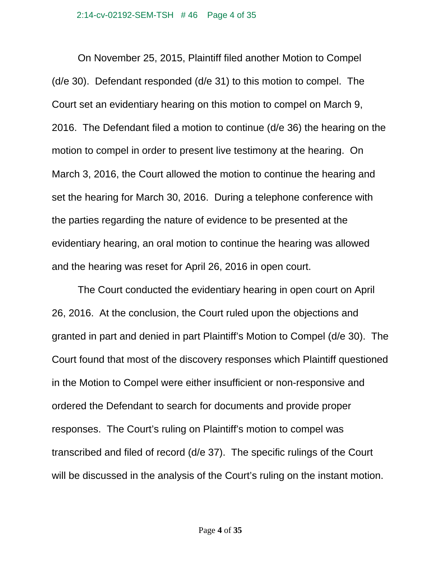On November 25, 2015, Plaintiff filed another Motion to Compel (d/e 30). Defendant responded (d/e 31) to this motion to compel. The Court set an evidentiary hearing on this motion to compel on March 9, 2016. The Defendant filed a motion to continue (d/e 36) the hearing on the motion to compel in order to present live testimony at the hearing. On March 3, 2016, the Court allowed the motion to continue the hearing and set the hearing for March 30, 2016. During a telephone conference with the parties regarding the nature of evidence to be presented at the evidentiary hearing, an oral motion to continue the hearing was allowed and the hearing was reset for April 26, 2016 in open court.

 The Court conducted the evidentiary hearing in open court on April 26, 2016. At the conclusion, the Court ruled upon the objections and granted in part and denied in part Plaintiff's Motion to Compel (d/e 30). The Court found that most of the discovery responses which Plaintiff questioned in the Motion to Compel were either insufficient or non-responsive and ordered the Defendant to search for documents and provide proper responses. The Court's ruling on Plaintiff's motion to compel was transcribed and filed of record (d/e 37). The specific rulings of the Court will be discussed in the analysis of the Court's ruling on the instant motion.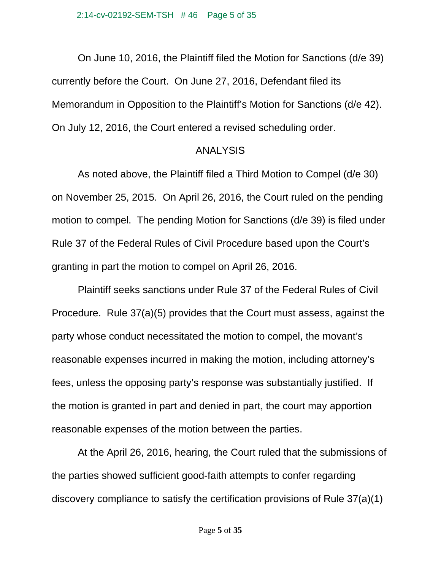On June 10, 2016, the Plaintiff filed the Motion for Sanctions (d/e 39) currently before the Court. On June 27, 2016, Defendant filed its Memorandum in Opposition to the Plaintiff's Motion for Sanctions (d/e 42). On July 12, 2016, the Court entered a revised scheduling order.

### ANALYSIS

 As noted above, the Plaintiff filed a Third Motion to Compel (d/e 30) on November 25, 2015. On April 26, 2016, the Court ruled on the pending motion to compel. The pending Motion for Sanctions (d/e 39) is filed under Rule 37 of the Federal Rules of Civil Procedure based upon the Court's granting in part the motion to compel on April 26, 2016.

 Plaintiff seeks sanctions under Rule 37 of the Federal Rules of Civil Procedure. Rule 37(a)(5) provides that the Court must assess, against the party whose conduct necessitated the motion to compel, the movant's reasonable expenses incurred in making the motion, including attorney's fees, unless the opposing party's response was substantially justified. If the motion is granted in part and denied in part, the court may apportion reasonable expenses of the motion between the parties.

 At the April 26, 2016, hearing, the Court ruled that the submissions of the parties showed sufficient good-faith attempts to confer regarding discovery compliance to satisfy the certification provisions of Rule 37(a)(1)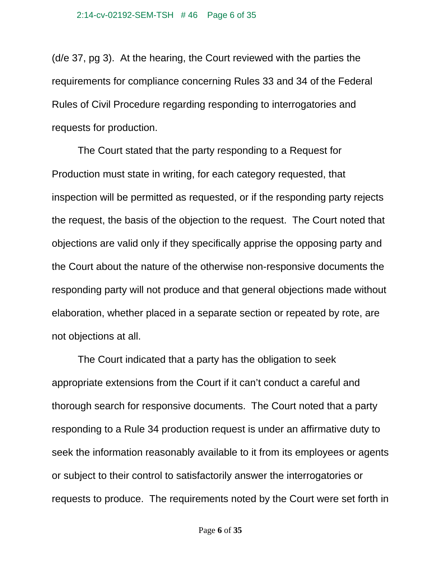(d/e 37, pg 3). At the hearing, the Court reviewed with the parties the requirements for compliance concerning Rules 33 and 34 of the Federal Rules of Civil Procedure regarding responding to interrogatories and requests for production.

The Court stated that the party responding to a Request for Production must state in writing, for each category requested, that inspection will be permitted as requested, or if the responding party rejects the request, the basis of the objection to the request. The Court noted that objections are valid only if they specifically apprise the opposing party and the Court about the nature of the otherwise non-responsive documents the responding party will not produce and that general objections made without elaboration, whether placed in a separate section or repeated by rote, are not objections at all.

 The Court indicated that a party has the obligation to seek appropriate extensions from the Court if it can't conduct a careful and thorough search for responsive documents. The Court noted that a party responding to a Rule 34 production request is under an affirmative duty to seek the information reasonably available to it from its employees or agents or subject to their control to satisfactorily answer the interrogatories or requests to produce. The requirements noted by the Court were set forth in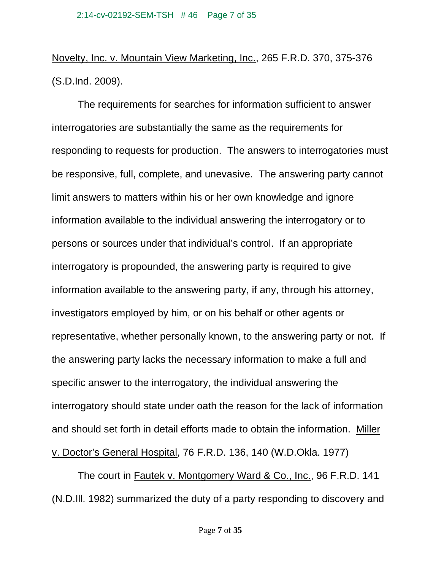Novelty, Inc. v. Mountain View Marketing, Inc., 265 F.R.D. 370, 375-376 (S.D.Ind. 2009).

 The requirements for searches for information sufficient to answer interrogatories are substantially the same as the requirements for responding to requests for production. The answers to interrogatories must be responsive, full, complete, and unevasive. The answering party cannot limit answers to matters within his or her own knowledge and ignore information available to the individual answering the interrogatory or to persons or sources under that individual's control. If an appropriate interrogatory is propounded, the answering party is required to give information available to the answering party, if any, through his attorney, investigators employed by him, or on his behalf or other agents or representative, whether personally known, to the answering party or not. If the answering party lacks the necessary information to make a full and specific answer to the interrogatory, the individual answering the interrogatory should state under oath the reason for the lack of information and should set forth in detail efforts made to obtain the information. Miller v. Doctor's General Hospital, 76 F.R.D. 136, 140 (W.D.Okla. 1977)

 The court in Fautek v. Montgomery Ward & Co., Inc., 96 F.R.D. 141 (N.D.Ill. 1982) summarized the duty of a party responding to discovery and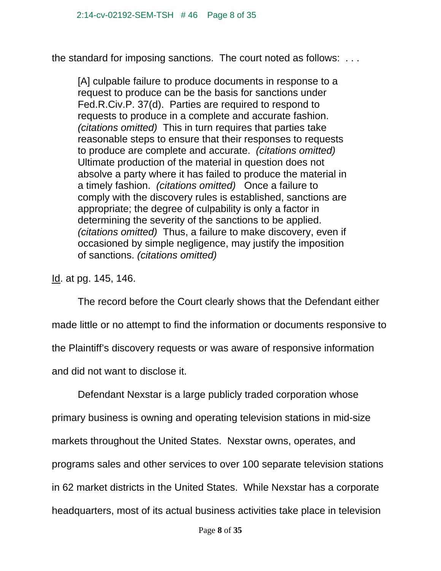the standard for imposing sanctions. The court noted as follows: . . .

[A] culpable failure to produce documents in response to a request to produce can be the basis for sanctions under Fed.R.Civ.P. 37(d). Parties are required to respond to requests to produce in a complete and accurate fashion. *(citations omitted)* This in turn requires that parties take reasonable steps to ensure that their responses to requests to produce are complete and accurate. *(citations omitted)*  Ultimate production of the material in question does not absolve a party where it has failed to produce the material in a timely fashion. *(citations omitted)* Once a failure to comply with the discovery rules is established, sanctions are appropriate; the degree of culpability is only a factor in determining the severity of the sanctions to be applied. *(citations omitted)* Thus, a failure to make discovery, even if occasioned by simple negligence, may justify the imposition of sanctions. *(citations omitted)*

Id. at pg. 145, 146.

 The record before the Court clearly shows that the Defendant either made little or no attempt to find the information or documents responsive to the Plaintiff's discovery requests or was aware of responsive information and did not want to disclose it.

Defendant Nexstar is a large publicly traded corporation whose primary business is owning and operating television stations in mid-size markets throughout the United States. Nexstar owns, operates, and programs sales and other services to over 100 separate television stations in 62 market districts in the United States. While Nexstar has a corporate headquarters, most of its actual business activities take place in television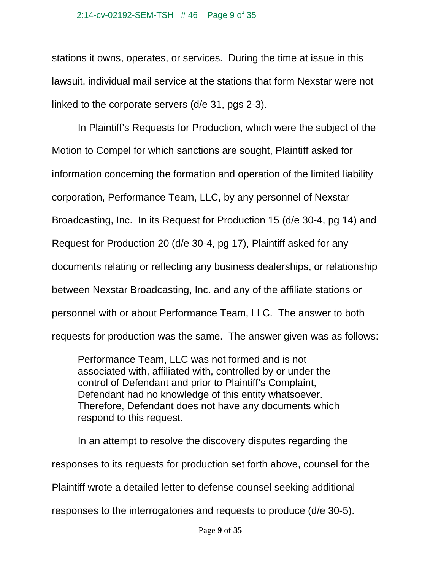#### 2:14-cv-02192-SEM-TSH # 46 Page 9 of 35

stations it owns, operates, or services. During the time at issue in this lawsuit, individual mail service at the stations that form Nexstar were not linked to the corporate servers (d/e 31, pgs 2-3).

 In Plaintiff's Requests for Production, which were the subject of the Motion to Compel for which sanctions are sought, Plaintiff asked for information concerning the formation and operation of the limited liability corporation, Performance Team, LLC, by any personnel of Nexstar Broadcasting, Inc. In its Request for Production 15 (d/e 30-4, pg 14) and Request for Production 20 (d/e 30-4, pg 17), Plaintiff asked for any documents relating or reflecting any business dealerships, or relationship between Nexstar Broadcasting, Inc. and any of the affiliate stations or personnel with or about Performance Team, LLC. The answer to both requests for production was the same. The answer given was as follows:

Performance Team, LLC was not formed and is not associated with, affiliated with, controlled by or under the control of Defendant and prior to Plaintiff's Complaint, Defendant had no knowledge of this entity whatsoever. Therefore, Defendant does not have any documents which respond to this request.

In an attempt to resolve the discovery disputes regarding the

responses to its requests for production set forth above, counsel for the

Plaintiff wrote a detailed letter to defense counsel seeking additional

responses to the interrogatories and requests to produce (d/e 30-5).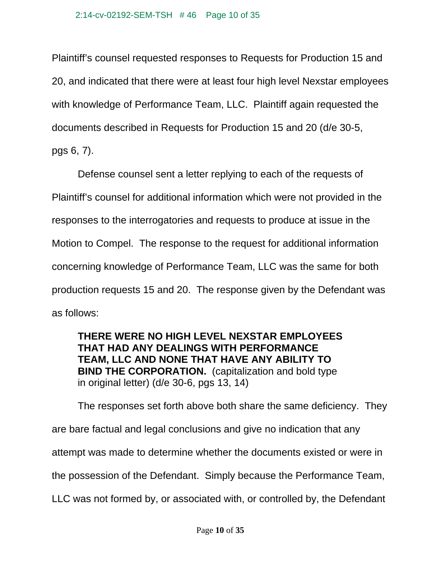Plaintiff's counsel requested responses to Requests for Production 15 and 20, and indicated that there were at least four high level Nexstar employees with knowledge of Performance Team, LLC. Plaintiff again requested the documents described in Requests for Production 15 and 20 (d/e 30-5, pgs 6, 7).

 Defense counsel sent a letter replying to each of the requests of Plaintiff's counsel for additional information which were not provided in the responses to the interrogatories and requests to produce at issue in the Motion to Compel. The response to the request for additional information concerning knowledge of Performance Team, LLC was the same for both production requests 15 and 20. The response given by the Defendant was as follows:

## **THERE WERE NO HIGH LEVEL NEXSTAR EMPLOYEES THAT HAD ANY DEALINGS WITH PERFORMANCE TEAM, LLC AND NONE THAT HAVE ANY ABILITY TO BIND THE CORPORATION.** (capitalization and bold type in original letter) (d/e 30-6, pgs 13, 14)

 The responses set forth above both share the same deficiency. They are bare factual and legal conclusions and give no indication that any attempt was made to determine whether the documents existed or were in the possession of the Defendant. Simply because the Performance Team, LLC was not formed by, or associated with, or controlled by, the Defendant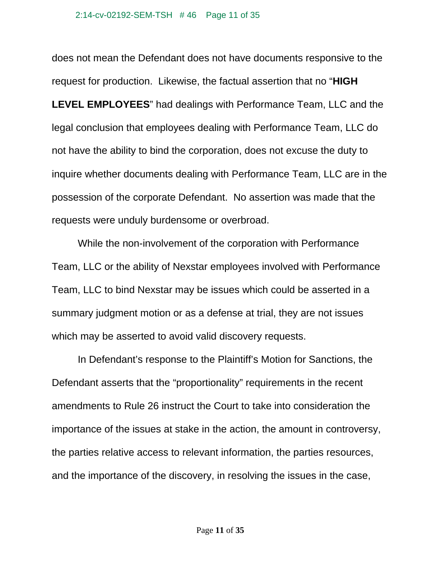does not mean the Defendant does not have documents responsive to the request for production. Likewise, the factual assertion that no "**HIGH LEVEL EMPLOYEES**" had dealings with Performance Team, LLC and the legal conclusion that employees dealing with Performance Team, LLC do not have the ability to bind the corporation, does not excuse the duty to inquire whether documents dealing with Performance Team, LLC are in the possession of the corporate Defendant. No assertion was made that the requests were unduly burdensome or overbroad.

 While the non-involvement of the corporation with Performance Team, LLC or the ability of Nexstar employees involved with Performance Team, LLC to bind Nexstar may be issues which could be asserted in a summary judgment motion or as a defense at trial, they are not issues which may be asserted to avoid valid discovery requests.

In Defendant's response to the Plaintiff's Motion for Sanctions, the Defendant asserts that the "proportionality" requirements in the recent amendments to Rule 26 instruct the Court to take into consideration the importance of the issues at stake in the action, the amount in controversy, the parties relative access to relevant information, the parties resources, and the importance of the discovery, in resolving the issues in the case,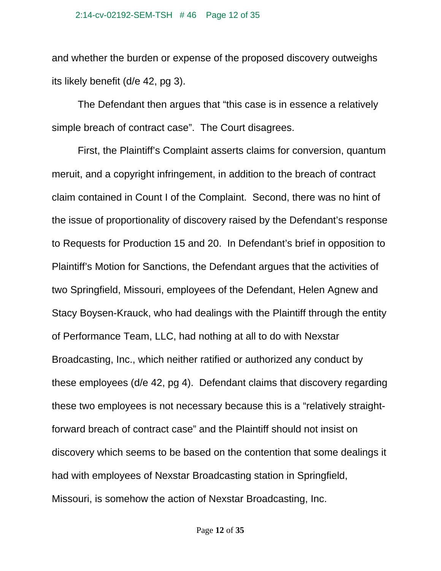#### 2:14-cv-02192-SEM-TSH # 46 Page 12 of 35

and whether the burden or expense of the proposed discovery outweighs its likely benefit (d/e 42, pg 3).

The Defendant then argues that "this case is in essence a relatively simple breach of contract case". The Court disagrees.

First, the Plaintiff's Complaint asserts claims for conversion, quantum meruit, and a copyright infringement, in addition to the breach of contract claim contained in Count I of the Complaint. Second, there was no hint of the issue of proportionality of discovery raised by the Defendant's response to Requests for Production 15 and 20. In Defendant's brief in opposition to Plaintiff's Motion for Sanctions, the Defendant argues that the activities of two Springfield, Missouri, employees of the Defendant, Helen Agnew and Stacy Boysen-Krauck, who had dealings with the Plaintiff through the entity of Performance Team, LLC, had nothing at all to do with Nexstar Broadcasting, Inc., which neither ratified or authorized any conduct by these employees (d/e 42, pg 4). Defendant claims that discovery regarding these two employees is not necessary because this is a "relatively straightforward breach of contract case" and the Plaintiff should not insist on discovery which seems to be based on the contention that some dealings it had with employees of Nexstar Broadcasting station in Springfield, Missouri, is somehow the action of Nexstar Broadcasting, Inc.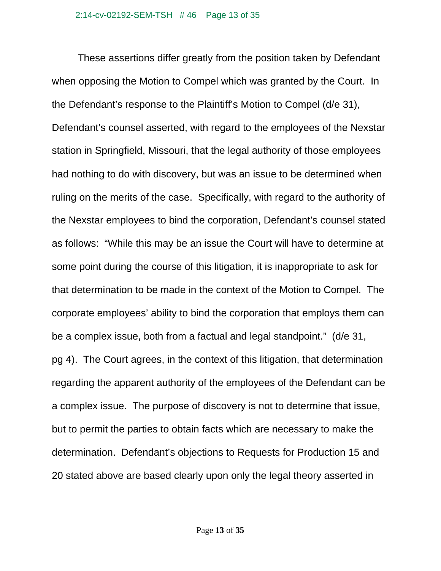These assertions differ greatly from the position taken by Defendant when opposing the Motion to Compel which was granted by the Court. In the Defendant's response to the Plaintiff's Motion to Compel (d/e 31), Defendant's counsel asserted, with regard to the employees of the Nexstar station in Springfield, Missouri, that the legal authority of those employees had nothing to do with discovery, but was an issue to be determined when ruling on the merits of the case. Specifically, with regard to the authority of the Nexstar employees to bind the corporation, Defendant's counsel stated as follows: "While this may be an issue the Court will have to determine at some point during the course of this litigation, it is inappropriate to ask for that determination to be made in the context of the Motion to Compel. The corporate employees' ability to bind the corporation that employs them can be a complex issue, both from a factual and legal standpoint." (d/e 31, pg 4). The Court agrees, in the context of this litigation, that determination regarding the apparent authority of the employees of the Defendant can be a complex issue. The purpose of discovery is not to determine that issue, but to permit the parties to obtain facts which are necessary to make the determination. Defendant's objections to Requests for Production 15 and 20 stated above are based clearly upon only the legal theory asserted in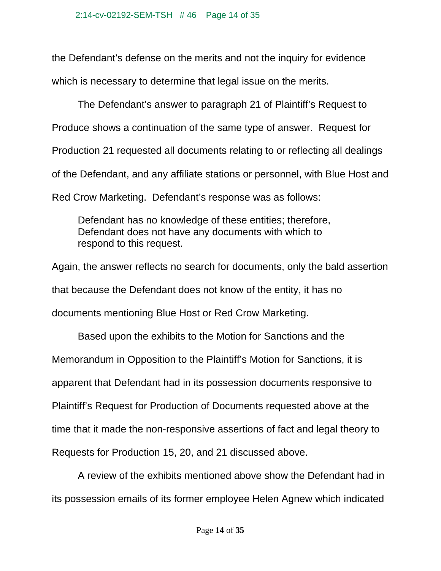the Defendant's defense on the merits and not the inquiry for evidence which is necessary to determine that legal issue on the merits.

The Defendant's answer to paragraph 21 of Plaintiff's Request to Produce shows a continuation of the same type of answer. Request for Production 21 requested all documents relating to or reflecting all dealings of the Defendant, and any affiliate stations or personnel, with Blue Host and Red Crow Marketing. Defendant's response was as follows:

Defendant has no knowledge of these entities; therefore, Defendant does not have any documents with which to respond to this request.

Again, the answer reflects no search for documents, only the bald assertion that because the Defendant does not know of the entity, it has no documents mentioning Blue Host or Red Crow Marketing.

Based upon the exhibits to the Motion for Sanctions and the Memorandum in Opposition to the Plaintiff's Motion for Sanctions, it is apparent that Defendant had in its possession documents responsive to Plaintiff's Request for Production of Documents requested above at the time that it made the non-responsive assertions of fact and legal theory to Requests for Production 15, 20, and 21 discussed above.

A review of the exhibits mentioned above show the Defendant had in its possession emails of its former employee Helen Agnew which indicated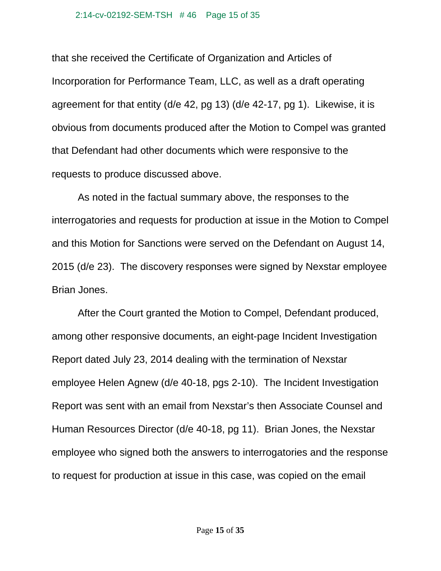that she received the Certificate of Organization and Articles of Incorporation for Performance Team, LLC, as well as a draft operating agreement for that entity (d/e 42, pg 13) (d/e 42-17, pg 1). Likewise, it is obvious from documents produced after the Motion to Compel was granted that Defendant had other documents which were responsive to the requests to produce discussed above.

As noted in the factual summary above, the responses to the interrogatories and requests for production at issue in the Motion to Compel and this Motion for Sanctions were served on the Defendant on August 14, 2015 (d/e 23). The discovery responses were signed by Nexstar employee Brian Jones.

After the Court granted the Motion to Compel, Defendant produced, among other responsive documents, an eight-page Incident Investigation Report dated July 23, 2014 dealing with the termination of Nexstar employee Helen Agnew (d/e 40-18, pgs 2-10). The Incident Investigation Report was sent with an email from Nexstar's then Associate Counsel and Human Resources Director (d/e 40-18, pg 11). Brian Jones, the Nexstar employee who signed both the answers to interrogatories and the response to request for production at issue in this case, was copied on the email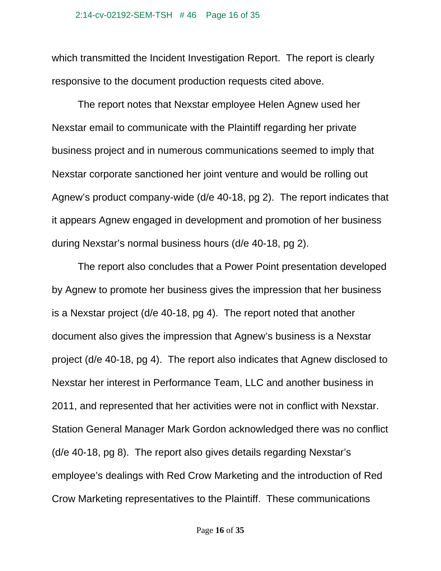which transmitted the Incident Investigation Report. The report is clearly responsive to the document production requests cited above.

The report notes that Nexstar employee Helen Agnew used her Nexstar email to communicate with the Plaintiff regarding her private business project and in numerous communications seemed to imply that Nexstar corporate sanctioned her joint venture and would be rolling out Agnew's product company-wide (d/e 40-18, pg 2). The report indicates that it appears Agnew engaged in development and promotion of her business during Nexstar's normal business hours (d/e 40-18, pg 2).

The report also concludes that a Power Point presentation developed by Agnew to promote her business gives the impression that her business is a Nexstar project (d/e 40-18, pg 4). The report noted that another document also gives the impression that Agnew's business is a Nexstar project (d/e 40-18, pg 4). The report also indicates that Agnew disclosed to Nexstar her interest in Performance Team, LLC and another business in 2011, and represented that her activities were not in conflict with Nexstar. Station General Manager Mark Gordon acknowledged there was no conflict (d/e 40-18, pg 8). The report also gives details regarding Nexstar's employee's dealings with Red Crow Marketing and the introduction of Red Crow Marketing representatives to the Plaintiff. These communications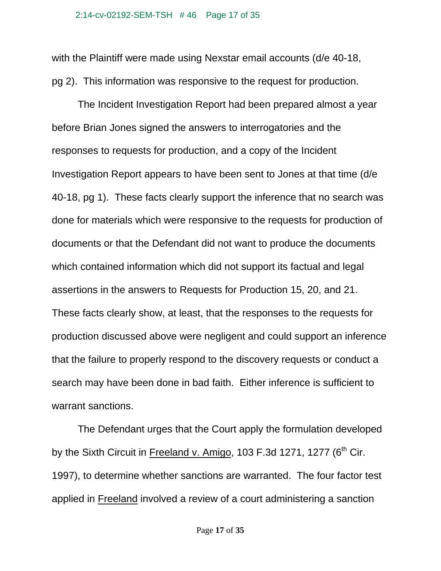with the Plaintiff were made using Nexstar email accounts (d/e 40-18, pg 2). This information was responsive to the request for production.

The Incident Investigation Report had been prepared almost a year before Brian Jones signed the answers to interrogatories and the responses to requests for production, and a copy of the Incident Investigation Report appears to have been sent to Jones at that time (d/e 40-18, pg 1). These facts clearly support the inference that no search was done for materials which were responsive to the requests for production of documents or that the Defendant did not want to produce the documents which contained information which did not support its factual and legal assertions in the answers to Requests for Production 15, 20, and 21. These facts clearly show, at least, that the responses to the requests for production discussed above were negligent and could support an inference that the failure to properly respond to the discovery requests or conduct a search may have been done in bad faith. Either inference is sufficient to warrant sanctions.

The Defendant urges that the Court apply the formulation developed by the Sixth Circuit in Freeland v. Amigo, 103 F.3d 1271, 1277 ( $6<sup>th</sup>$  Cir. 1997), to determine whether sanctions are warranted. The four factor test applied in Freeland involved a review of a court administering a sanction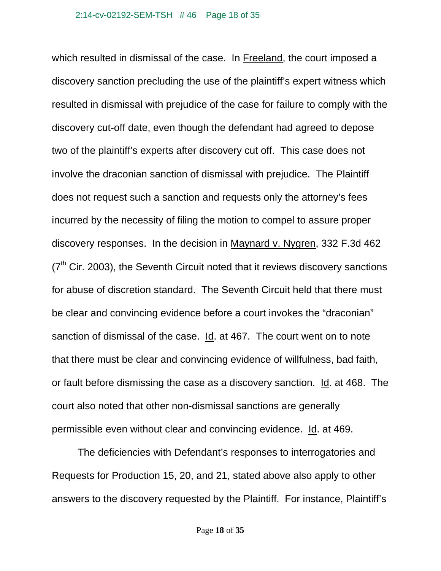which resulted in dismissal of the case. In Freeland, the court imposed a discovery sanction precluding the use of the plaintiff's expert witness which resulted in dismissal with prejudice of the case for failure to comply with the discovery cut-off date, even though the defendant had agreed to depose two of the plaintiff's experts after discovery cut off. This case does not involve the draconian sanction of dismissal with prejudice. The Plaintiff does not request such a sanction and requests only the attorney's fees incurred by the necessity of filing the motion to compel to assure proper discovery responses. In the decision in Maynard v. Nygren, 332 F.3d 462  $(7<sup>th</sup>$  Cir. 2003), the Seventh Circuit noted that it reviews discovery sanctions for abuse of discretion standard. The Seventh Circuit held that there must be clear and convincing evidence before a court invokes the "draconian" sanction of dismissal of the case. Id. at 467. The court went on to note that there must be clear and convincing evidence of willfulness, bad faith, or fault before dismissing the case as a discovery sanction. Id. at 468. The court also noted that other non-dismissal sanctions are generally permissible even without clear and convincing evidence. Id. at 469.

The deficiencies with Defendant's responses to interrogatories and Requests for Production 15, 20, and 21, stated above also apply to other answers to the discovery requested by the Plaintiff. For instance, Plaintiff's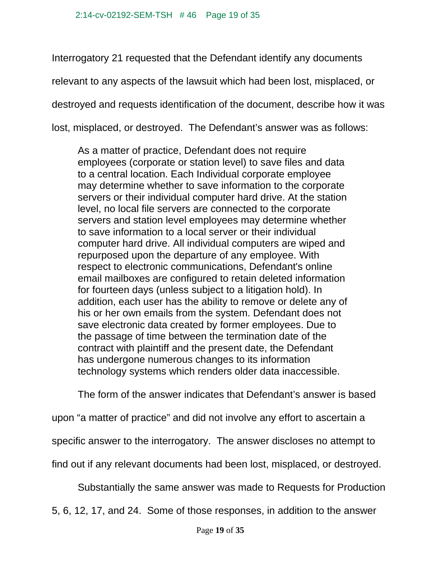Interrogatory 21 requested that the Defendant identify any documents relevant to any aspects of the lawsuit which had been lost, misplaced, or destroyed and requests identification of the document, describe how it was lost, misplaced, or destroyed. The Defendant's answer was as follows:

As a matter of practice, Defendant does not require employees (corporate or station level) to save files and data to a central location. Each Individual corporate employee may determine whether to save information to the corporate servers or their individual computer hard drive. At the station level, no local file servers are connected to the corporate servers and station level employees may determine whether to save information to a local server or their individual computer hard drive. All individual computers are wiped and repurposed upon the departure of any employee. With respect to electronic communications, Defendant's online email mailboxes are configured to retain deleted information for fourteen days (unless subject to a litigation hold). In addition, each user has the ability to remove or delete any of his or her own emails from the system. Defendant does not save electronic data created by former employees. Due to the passage of time between the termination date of the contract with plaintiff and the present date, the Defendant has undergone numerous changes to its information technology systems which renders older data inaccessible.

The form of the answer indicates that Defendant's answer is based

upon "a matter of practice" and did not involve any effort to ascertain a

specific answer to the interrogatory. The answer discloses no attempt to

find out if any relevant documents had been lost, misplaced, or destroyed.

Substantially the same answer was made to Requests for Production

5, 6, 12, 17, and 24. Some of those responses, in addition to the answer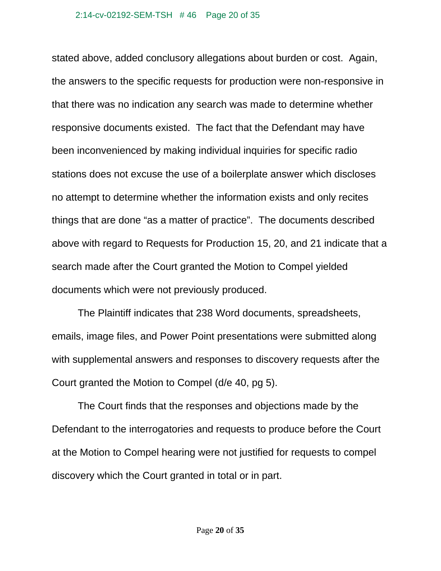stated above, added conclusory allegations about burden or cost. Again, the answers to the specific requests for production were non-responsive in that there was no indication any search was made to determine whether responsive documents existed. The fact that the Defendant may have been inconvenienced by making individual inquiries for specific radio stations does not excuse the use of a boilerplate answer which discloses no attempt to determine whether the information exists and only recites things that are done "as a matter of practice". The documents described above with regard to Requests for Production 15, 20, and 21 indicate that a search made after the Court granted the Motion to Compel yielded documents which were not previously produced.

The Plaintiff indicates that 238 Word documents, spreadsheets, emails, image files, and Power Point presentations were submitted along with supplemental answers and responses to discovery requests after the Court granted the Motion to Compel (d/e 40, pg 5).

The Court finds that the responses and objections made by the Defendant to the interrogatories and requests to produce before the Court at the Motion to Compel hearing were not justified for requests to compel discovery which the Court granted in total or in part.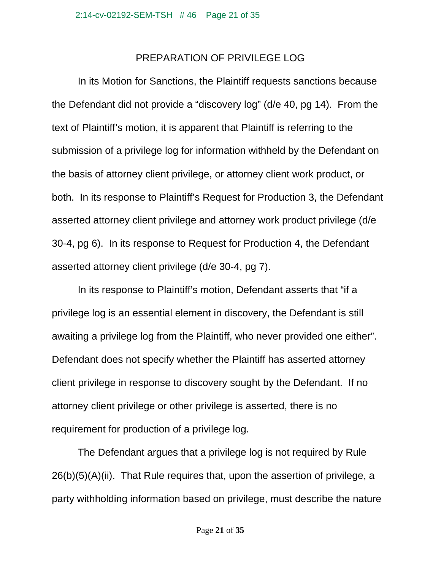## PREPARATION OF PRIVILEGE LOG

 In its Motion for Sanctions, the Plaintiff requests sanctions because the Defendant did not provide a "discovery log" (d/e 40, pg 14). From the text of Plaintiff's motion, it is apparent that Plaintiff is referring to the submission of a privilege log for information withheld by the Defendant on the basis of attorney client privilege, or attorney client work product, or both. In its response to Plaintiff's Request for Production 3, the Defendant asserted attorney client privilege and attorney work product privilege (d/e 30-4, pg 6). In its response to Request for Production 4, the Defendant asserted attorney client privilege (d/e 30-4, pg 7).

In its response to Plaintiff's motion, Defendant asserts that "if a privilege log is an essential element in discovery, the Defendant is still awaiting a privilege log from the Plaintiff, who never provided one either". Defendant does not specify whether the Plaintiff has asserted attorney client privilege in response to discovery sought by the Defendant. If no attorney client privilege or other privilege is asserted, there is no requirement for production of a privilege log.

The Defendant argues that a privilege log is not required by Rule 26(b)(5)(A)(ii). That Rule requires that, upon the assertion of privilege, a party withholding information based on privilege, must describe the nature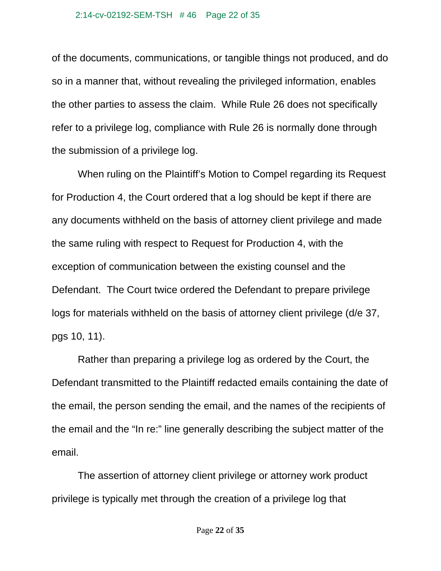of the documents, communications, or tangible things not produced, and do so in a manner that, without revealing the privileged information, enables the other parties to assess the claim. While Rule 26 does not specifically refer to a privilege log, compliance with Rule 26 is normally done through the submission of a privilege log.

 When ruling on the Plaintiff's Motion to Compel regarding its Request for Production 4, the Court ordered that a log should be kept if there are any documents withheld on the basis of attorney client privilege and made the same ruling with respect to Request for Production 4, with the exception of communication between the existing counsel and the Defendant. The Court twice ordered the Defendant to prepare privilege logs for materials withheld on the basis of attorney client privilege (d/e 37, pgs 10, 11).

 Rather than preparing a privilege log as ordered by the Court, the Defendant transmitted to the Plaintiff redacted emails containing the date of the email, the person sending the email, and the names of the recipients of the email and the "In re:" line generally describing the subject matter of the email.

 The assertion of attorney client privilege or attorney work product privilege is typically met through the creation of a privilege log that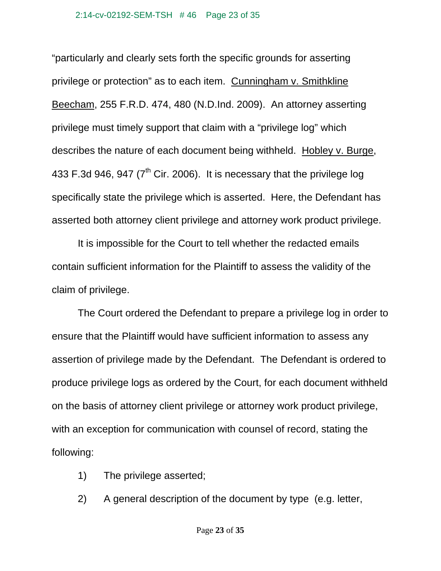"particularly and clearly sets forth the specific grounds for asserting privilege or protection" as to each item. Cunningham v. Smithkline Beecham, 255 F.R.D. 474, 480 (N.D.Ind. 2009). An attorney asserting privilege must timely support that claim with a "privilege log" which describes the nature of each document being withheld. Hobley v. Burge, 433 F.3d 946, 947 ( $7<sup>th</sup>$  Cir. 2006). It is necessary that the privilege log specifically state the privilege which is asserted. Here, the Defendant has asserted both attorney client privilege and attorney work product privilege.

 It is impossible for the Court to tell whether the redacted emails contain sufficient information for the Plaintiff to assess the validity of the claim of privilege.

 The Court ordered the Defendant to prepare a privilege log in order to ensure that the Plaintiff would have sufficient information to assess any assertion of privilege made by the Defendant. The Defendant is ordered to produce privilege logs as ordered by the Court, for each document withheld on the basis of attorney client privilege or attorney work product privilege, with an exception for communication with counsel of record, stating the following:

- 1) The privilege asserted;
- 2) A general description of the document by type (e.g. letter,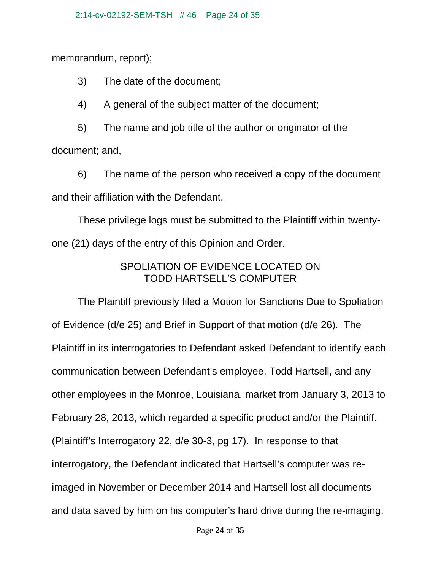memorandum, report);

3) The date of the document;

4) A general of the subject matter of the document;

 5) The name and job title of the author or originator of the document; and,

 6) The name of the person who received a copy of the document and their affiliation with the Defendant.

These privilege logs must be submitted to the Plaintiff within twentyone (21) days of the entry of this Opinion and Order.

## SPOLIATION OF EVIDENCE LOCATED ON TODD HARTSELL'S COMPUTER

 The Plaintiff previously filed a Motion for Sanctions Due to Spoliation of Evidence (d/e 25) and Brief in Support of that motion (d/e 26). The Plaintiff in its interrogatories to Defendant asked Defendant to identify each communication between Defendant's employee, Todd Hartsell, and any other employees in the Monroe, Louisiana, market from January 3, 2013 to February 28, 2013, which regarded a specific product and/or the Plaintiff. (Plaintiff's Interrogatory 22, d/e 30-3, pg 17). In response to that interrogatory, the Defendant indicated that Hartsell's computer was reimaged in November or December 2014 and Hartsell lost all documents and data saved by him on his computer's hard drive during the re-imaging.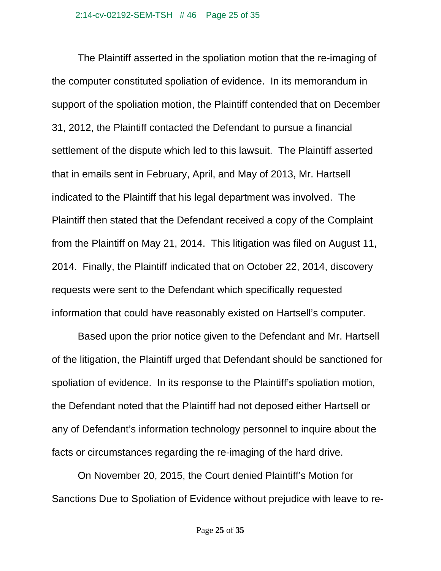The Plaintiff asserted in the spoliation motion that the re-imaging of the computer constituted spoliation of evidence. In its memorandum in support of the spoliation motion, the Plaintiff contended that on December 31, 2012, the Plaintiff contacted the Defendant to pursue a financial settlement of the dispute which led to this lawsuit. The Plaintiff asserted that in emails sent in February, April, and May of 2013, Mr. Hartsell indicated to the Plaintiff that his legal department was involved. The Plaintiff then stated that the Defendant received a copy of the Complaint from the Plaintiff on May 21, 2014. This litigation was filed on August 11, 2014. Finally, the Plaintiff indicated that on October 22, 2014, discovery requests were sent to the Defendant which specifically requested information that could have reasonably existed on Hartsell's computer.

 Based upon the prior notice given to the Defendant and Mr. Hartsell of the litigation, the Plaintiff urged that Defendant should be sanctioned for spoliation of evidence. In its response to the Plaintiff's spoliation motion, the Defendant noted that the Plaintiff had not deposed either Hartsell or any of Defendant's information technology personnel to inquire about the facts or circumstances regarding the re-imaging of the hard drive.

 On November 20, 2015, the Court denied Plaintiff's Motion for Sanctions Due to Spoliation of Evidence without prejudice with leave to re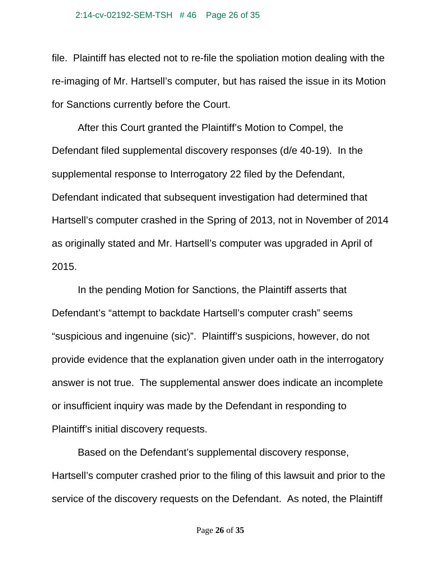file. Plaintiff has elected not to re-file the spoliation motion dealing with the re-imaging of Mr. Hartsell's computer, but has raised the issue in its Motion for Sanctions currently before the Court.

 After this Court granted the Plaintiff's Motion to Compel, the Defendant filed supplemental discovery responses (d/e 40-19). In the supplemental response to Interrogatory 22 filed by the Defendant, Defendant indicated that subsequent investigation had determined that Hartsell's computer crashed in the Spring of 2013, not in November of 2014 as originally stated and Mr. Hartsell's computer was upgraded in April of 2015.

 In the pending Motion for Sanctions, the Plaintiff asserts that Defendant's "attempt to backdate Hartsell's computer crash" seems "suspicious and ingenuine (sic)". Plaintiff's suspicions, however, do not provide evidence that the explanation given under oath in the interrogatory answer is not true. The supplemental answer does indicate an incomplete or insufficient inquiry was made by the Defendant in responding to Plaintiff's initial discovery requests.

 Based on the Defendant's supplemental discovery response, Hartsell's computer crashed prior to the filing of this lawsuit and prior to the service of the discovery requests on the Defendant. As noted, the Plaintiff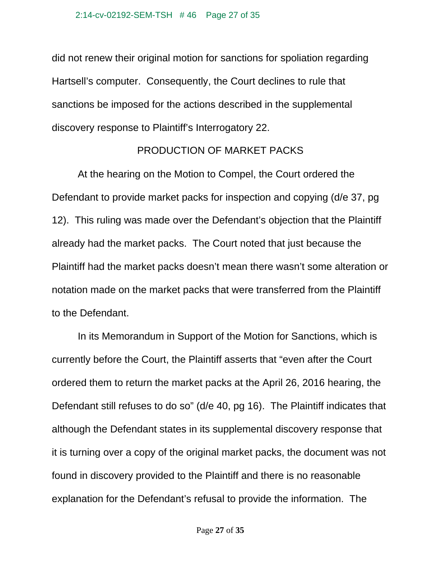did not renew their original motion for sanctions for spoliation regarding Hartsell's computer. Consequently, the Court declines to rule that sanctions be imposed for the actions described in the supplemental discovery response to Plaintiff's Interrogatory 22.

#### PRODUCTION OF MARKET PACKS

 At the hearing on the Motion to Compel, the Court ordered the Defendant to provide market packs for inspection and copying (d/e 37, pg 12). This ruling was made over the Defendant's objection that the Plaintiff already had the market packs. The Court noted that just because the Plaintiff had the market packs doesn't mean there wasn't some alteration or notation made on the market packs that were transferred from the Plaintiff to the Defendant.

 In its Memorandum in Support of the Motion for Sanctions, which is currently before the Court, the Plaintiff asserts that "even after the Court ordered them to return the market packs at the April 26, 2016 hearing, the Defendant still refuses to do so" (d/e 40, pg 16). The Plaintiff indicates that although the Defendant states in its supplemental discovery response that it is turning over a copy of the original market packs, the document was not found in discovery provided to the Plaintiff and there is no reasonable explanation for the Defendant's refusal to provide the information. The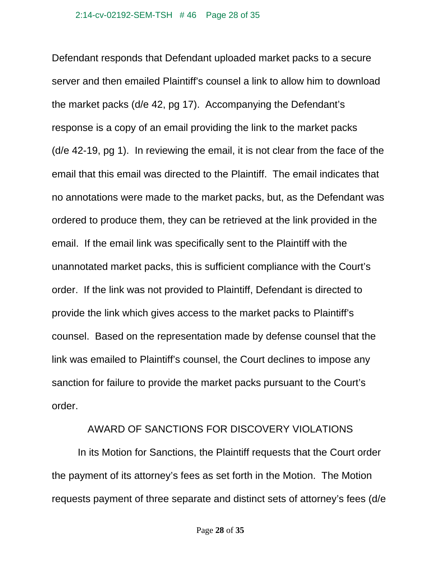Defendant responds that Defendant uploaded market packs to a secure server and then emailed Plaintiff's counsel a link to allow him to download the market packs (d/e 42, pg 17). Accompanying the Defendant's response is a copy of an email providing the link to the market packs (d/e 42-19, pg 1). In reviewing the email, it is not clear from the face of the email that this email was directed to the Plaintiff. The email indicates that no annotations were made to the market packs, but, as the Defendant was ordered to produce them, they can be retrieved at the link provided in the email. If the email link was specifically sent to the Plaintiff with the unannotated market packs, this is sufficient compliance with the Court's order. If the link was not provided to Plaintiff, Defendant is directed to provide the link which gives access to the market packs to Plaintiff's counsel. Based on the representation made by defense counsel that the link was emailed to Plaintiff's counsel, the Court declines to impose any sanction for failure to provide the market packs pursuant to the Court's order.

### AWARD OF SANCTIONS FOR DISCOVERY VIOLATIONS

 In its Motion for Sanctions, the Plaintiff requests that the Court order the payment of its attorney's fees as set forth in the Motion. The Motion requests payment of three separate and distinct sets of attorney's fees (d/e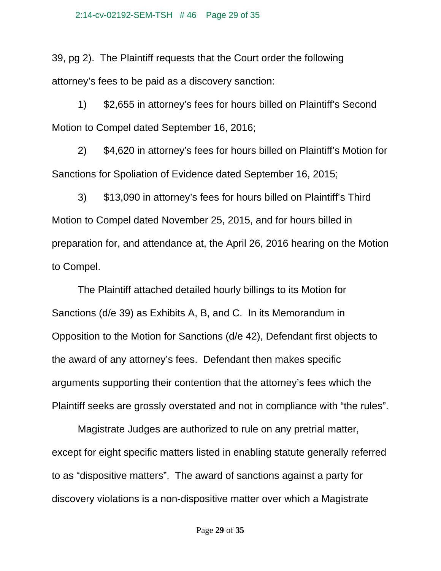39, pg 2). The Plaintiff requests that the Court order the following attorney's fees to be paid as a discovery sanction:

 1) \$2,655 in attorney's fees for hours billed on Plaintiff's Second Motion to Compel dated September 16, 2016;

 2) \$4,620 in attorney's fees for hours billed on Plaintiff's Motion for Sanctions for Spoliation of Evidence dated September 16, 2015;

 3) \$13,090 in attorney's fees for hours billed on Plaintiff's Third Motion to Compel dated November 25, 2015, and for hours billed in preparation for, and attendance at, the April 26, 2016 hearing on the Motion to Compel.

 The Plaintiff attached detailed hourly billings to its Motion for Sanctions (d/e 39) as Exhibits A, B, and C. In its Memorandum in Opposition to the Motion for Sanctions (d/e 42), Defendant first objects to the award of any attorney's fees. Defendant then makes specific arguments supporting their contention that the attorney's fees which the Plaintiff seeks are grossly overstated and not in compliance with "the rules".

 Magistrate Judges are authorized to rule on any pretrial matter, except for eight specific matters listed in enabling statute generally referred to as "dispositive matters". The award of sanctions against a party for discovery violations is a non-dispositive matter over which a Magistrate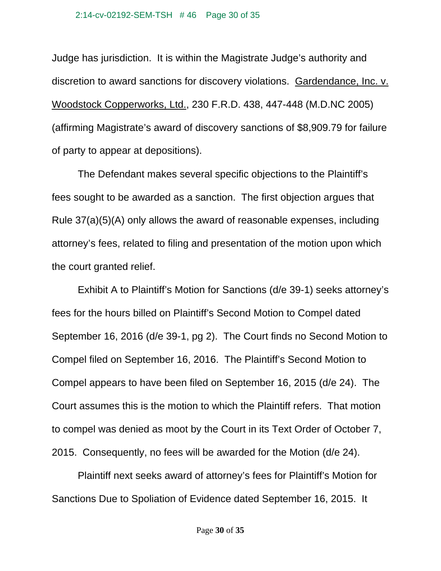Judge has jurisdiction. It is within the Magistrate Judge's authority and discretion to award sanctions for discovery violations. Gardendance, Inc. v. Woodstock Copperworks, Ltd., 230 F.R.D. 438, 447-448 (M.D.NC 2005) (affirming Magistrate's award of discovery sanctions of \$8,909.79 for failure of party to appear at depositions).

 The Defendant makes several specific objections to the Plaintiff's fees sought to be awarded as a sanction. The first objection argues that Rule 37(a)(5)(A) only allows the award of reasonable expenses, including attorney's fees, related to filing and presentation of the motion upon which the court granted relief.

Exhibit A to Plaintiff's Motion for Sanctions (d/e 39-1) seeks attorney's fees for the hours billed on Plaintiff's Second Motion to Compel dated September 16, 2016 (d/e 39-1, pg 2). The Court finds no Second Motion to Compel filed on September 16, 2016. The Plaintiff's Second Motion to Compel appears to have been filed on September 16, 2015 (d/e 24). The Court assumes this is the motion to which the Plaintiff refers. That motion to compel was denied as moot by the Court in its Text Order of October 7, 2015. Consequently, no fees will be awarded for the Motion (d/e 24).

 Plaintiff next seeks award of attorney's fees for Plaintiff's Motion for Sanctions Due to Spoliation of Evidence dated September 16, 2015. It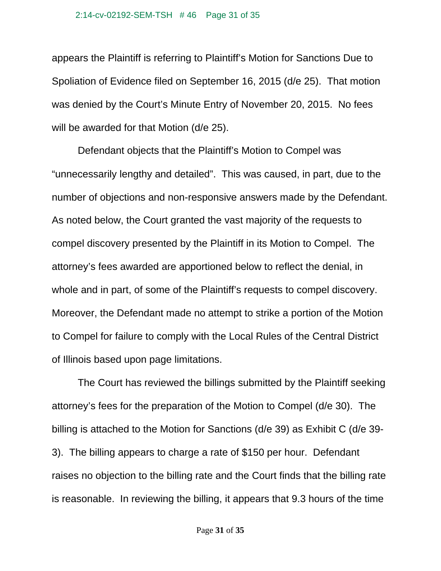#### 2:14-cv-02192-SEM-TSH # 46 Page 31 of 35

appears the Plaintiff is referring to Plaintiff's Motion for Sanctions Due to Spoliation of Evidence filed on September 16, 2015 (d/e 25). That motion was denied by the Court's Minute Entry of November 20, 2015. No fees will be awarded for that Motion (d/e 25).

 Defendant objects that the Plaintiff's Motion to Compel was "unnecessarily lengthy and detailed". This was caused, in part, due to the number of objections and non-responsive answers made by the Defendant. As noted below, the Court granted the vast majority of the requests to compel discovery presented by the Plaintiff in its Motion to Compel. The attorney's fees awarded are apportioned below to reflect the denial, in whole and in part, of some of the Plaintiff's requests to compel discovery. Moreover, the Defendant made no attempt to strike a portion of the Motion to Compel for failure to comply with the Local Rules of the Central District of Illinois based upon page limitations.

The Court has reviewed the billings submitted by the Plaintiff seeking attorney's fees for the preparation of the Motion to Compel (d/e 30). The billing is attached to the Motion for Sanctions (d/e 39) as Exhibit C (d/e 39- 3). The billing appears to charge a rate of \$150 per hour. Defendant raises no objection to the billing rate and the Court finds that the billing rate is reasonable. In reviewing the billing, it appears that 9.3 hours of the time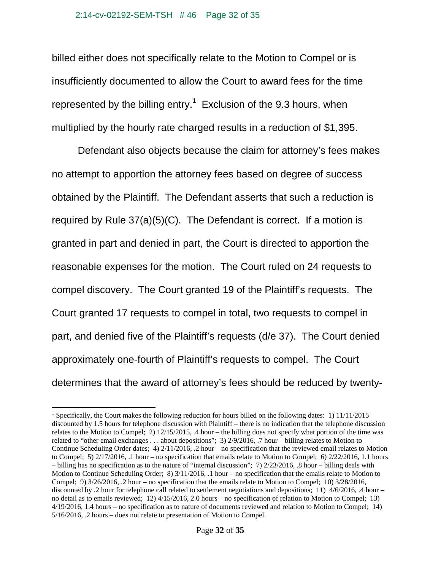billed either does not specifically relate to the Motion to Compel or is insufficiently documented to allow the Court to award fees for the time represented by the billing entry.<sup>1</sup> Exclusion of the 9.3 hours, when multiplied by the hourly rate charged results in a reduction of \$1,395.

Defendant also objects because the claim for attorney's fees makes no attempt to apportion the attorney fees based on degree of success obtained by the Plaintiff. The Defendant asserts that such a reduction is required by Rule 37(a)(5)(C). The Defendant is correct. If a motion is granted in part and denied in part, the Court is directed to apportion the reasonable expenses for the motion. The Court ruled on 24 requests to compel discovery. The Court granted 19 of the Plaintiff's requests. The Court granted 17 requests to compel in total, two requests to compel in part, and denied five of the Plaintiff's requests (d/e 37). The Court denied approximately one-fourth of Plaintiff's requests to compel. The Court determines that the award of attorney's fees should be reduced by twenty-

 $\overline{a}$ 

<sup>&</sup>lt;sup>1</sup> Specifically, the Court makes the following reduction for hours billed on the following dates: 1) 11/11/2015 discounted by 1.5 hours for telephone discussion with Plaintiff – there is no indication that the telephone discussion relates to the Motion to Compel; 2) 12/15/2015, .4 hour – the billing does not specify what portion of the time was related to "other email exchanges . . . about depositions"; 3) 2/9/2016, .7 hour – billing relates to Motion to Continue Scheduling Order dates; 4) 2/11/2016, .2 hour – no specification that the reviewed email relates to Motion to Compel; 5) 2/17/2016, .1 hour – no specification that emails relate to Motion to Compel; 6) 2/22/2016, 1.1 hours – billing has no specification as to the nature of "internal discussion"; 7) 2/23/2016, .8 hour – billing deals with Motion to Continue Scheduling Order; 8) 3/11/2016, .1 hour – no specification that the emails relate to Motion to Compel; 9) 3/26/2016, .2 hour – no specification that the emails relate to Motion to Compel; 10) 3/28/2016, discounted by .2 hour for telephone call related to settlement negotiations and depositions; 11) 4/6/2016, .4 hour – no detail as to emails reviewed; 12) 4/15/2016, 2.0 hours – no specification of relation to Motion to Compel; 13) 4/19/2016, 1.4 hours – no specification as to nature of documents reviewed and relation to Motion to Compel; 14) 5/16/2016, .2 hours – does not relate to presentation of Motion to Compel.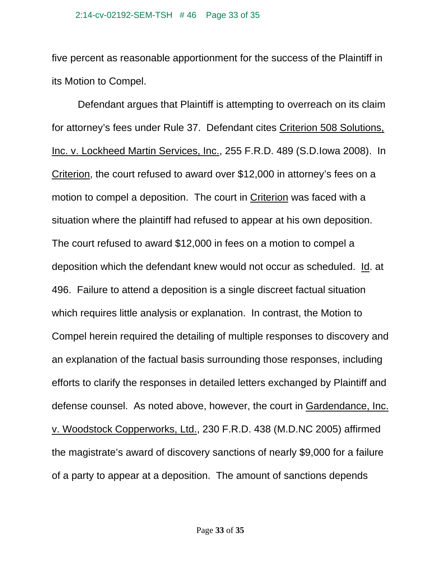five percent as reasonable apportionment for the success of the Plaintiff in its Motion to Compel.

Defendant argues that Plaintiff is attempting to overreach on its claim for attorney's fees under Rule 37. Defendant cites Criterion 508 Solutions, Inc. v. Lockheed Martin Services, Inc., 255 F.R.D. 489 (S.D.Iowa 2008). In Criterion, the court refused to award over \$12,000 in attorney's fees on a motion to compel a deposition. The court in Criterion was faced with a situation where the plaintiff had refused to appear at his own deposition. The court refused to award \$12,000 in fees on a motion to compel a deposition which the defendant knew would not occur as scheduled. Id. at 496. Failure to attend a deposition is a single discreet factual situation which requires little analysis or explanation. In contrast, the Motion to Compel herein required the detailing of multiple responses to discovery and an explanation of the factual basis surrounding those responses, including efforts to clarify the responses in detailed letters exchanged by Plaintiff and defense counsel. As noted above, however, the court in Gardendance, Inc. v. Woodstock Copperworks, Ltd., 230 F.R.D. 438 (M.D.NC 2005) affirmed the magistrate's award of discovery sanctions of nearly \$9,000 for a failure of a party to appear at a deposition. The amount of sanctions depends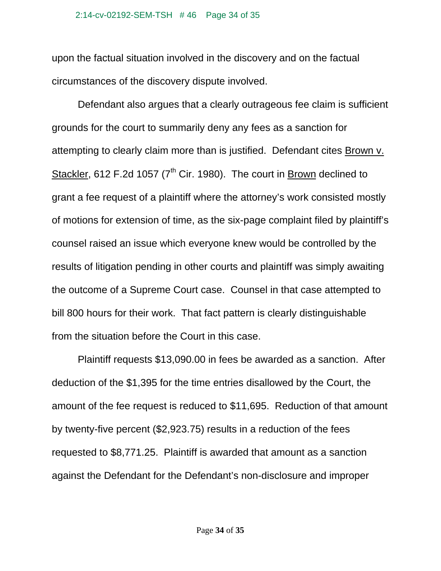#### 2:14-cv-02192-SEM-TSH # 46 Page 34 of 35

upon the factual situation involved in the discovery and on the factual circumstances of the discovery dispute involved.

Defendant also argues that a clearly outrageous fee claim is sufficient grounds for the court to summarily deny any fees as a sanction for attempting to clearly claim more than is justified. Defendant cites Brown v. Stackler, 612 F.2d 1057 (7<sup>th</sup> Cir. 1980). The court in Brown declined to grant a fee request of a plaintiff where the attorney's work consisted mostly of motions for extension of time, as the six-page complaint filed by plaintiff's counsel raised an issue which everyone knew would be controlled by the results of litigation pending in other courts and plaintiff was simply awaiting the outcome of a Supreme Court case. Counsel in that case attempted to bill 800 hours for their work. That fact pattern is clearly distinguishable from the situation before the Court in this case.

Plaintiff requests \$13,090.00 in fees be awarded as a sanction. After deduction of the \$1,395 for the time entries disallowed by the Court, the amount of the fee request is reduced to \$11,695. Reduction of that amount by twenty-five percent (\$2,923.75) results in a reduction of the fees requested to \$8,771.25. Plaintiff is awarded that amount as a sanction against the Defendant for the Defendant's non-disclosure and improper